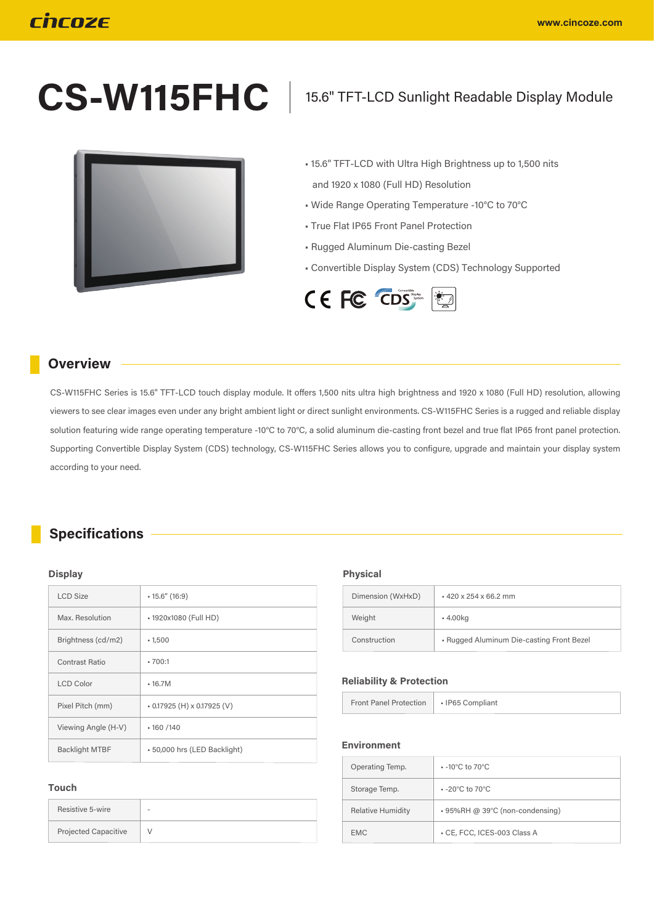# **CS-W115FHC**



• 15.6" TFT-LCD with Ultra High Brightness up to 1,500 nits and 1920 x 1080 (Full HD) Resolution

15.6" TFT-LCD Sunlight Readable Display Module

- Wide Range Operating Temperature -10°C to 70°C
- True Flat IP65 Front Panel Protection
- Rugged Aluminum Die-casting Bezel
- Convertible Display System (CDS) Technology Supported



#### **Overview**

CS-W115FHC Series is 15.6" TFT-LCD touch display module. It offers 1,500 nits ultra high brightness and 1920 x 1080 (Full HD) resolution, allowing viewers to see clear images even under any bright ambient light or direct sunlight environments. CS-W115FHC Series is a rugged and reliable display solution featuring wide range operating temperature -10°C to 70°C, a solid aluminum die-casting front bezel and true flat IP65 front panel protection. Supporting Convertible Display System (CDS) technology, CS-W115FHC Series allows you to configure, upgrade and maintain your display system according to your need.

#### **Specifications**

#### **Display**

| <b>LCD Size</b>       | $-15.6''(16.9)$              |
|-----------------------|------------------------------|
| Max. Resolution       | - 1920x1080 (Full HD)        |
| Brightness (cd/m2)    | $-1,500$                     |
| Contrast Ratio        | $-700:1$                     |
| <b>LCD Color</b>      | $-16.7M$                     |
| Pixel Pitch (mm)      | $-0.17925$ (H) x 0.17925 (V) |
| Viewing Angle (H-V)   | $-160/140$                   |
| <b>Backlight MTBF</b> | - 50,000 hrs (LED Backlight) |

#### **Touch**

| Resistive 5-wire            | ۰ |
|-----------------------------|---|
| <b>Projected Capacitive</b> |   |

#### **Physical**

| Dimension (WxHxD) | $420 \times 254 \times 66.2$ mm           |
|-------------------|-------------------------------------------|
| Weight            | $-4.00kg$                                 |
| Construction      | - Rugged Aluminum Die-casting Front Bezel |

#### **Reliability & Protection**

Front Panel Protection • IP65 Compliant

#### **Environment**

| Operating Temp.          | $-10^{\circ}$ C to 70 $^{\circ}$ C |
|--------------------------|------------------------------------|
| Storage Temp.            | $-20^{\circ}$ C to 70 $^{\circ}$ C |
| <b>Relative Humidity</b> | ⋅ 95%RH @ 39°C (non-condensing)    |
| FMC.                     | • CE, FCC, ICES-003 Class A        |